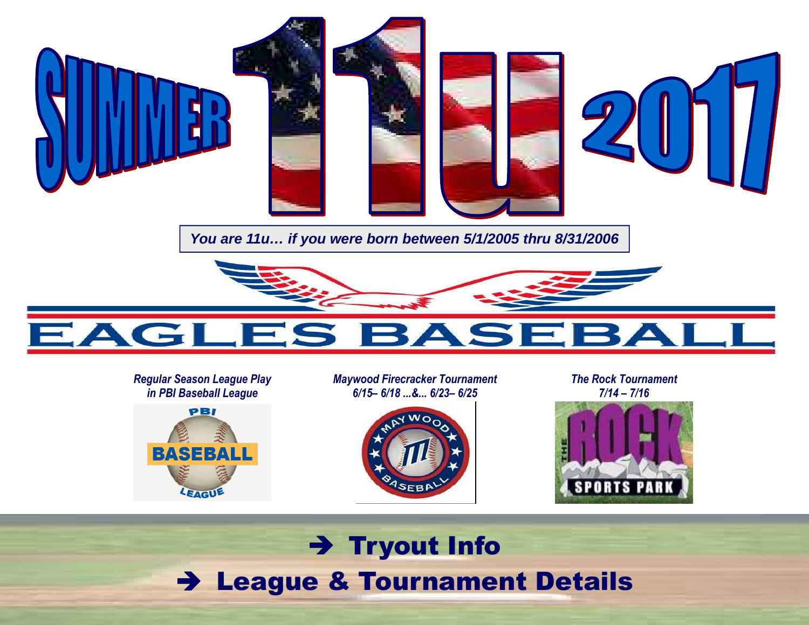

**You are 11u… if you were born between 5/1/2005 thru 8/31/2006** 



#### *Regular Season League Play in PBI Baseball League*



*Maywood Firecracker Tournament 6/15– 6/18 ...&... 6/23– 6/25* 



*The Rock Tournament 7/14 – 7/16* 



## → Tryout Info<br>a º Teurnamer League & Tournament Details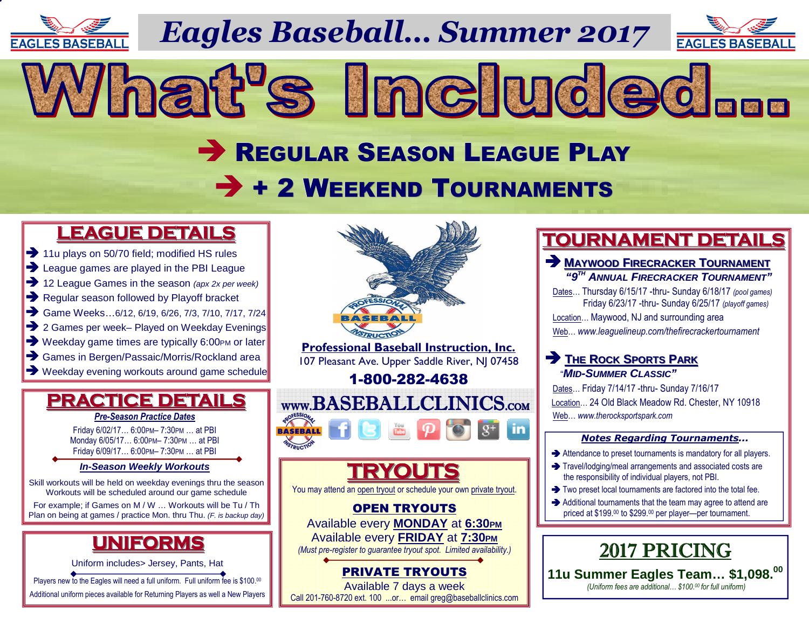

*Eagles Baseball… Summer 2017*

What's Included...



# REGULAR SEASON LEAGUE PLAY  $\rightarrow$  + 2 WEEKEND TOURNAMENTS

## **LEAGUE DETAILS**

- 11u plays on 50/70 field: modified HS ru → 11u plays on 50/70 field; modified HS rules<br>→ League games are played in the PBI Leagu
- League games are played in the PBI League<br> **•** 12 League Games in the season (apx 2x per we
- 12 League Games in the season (apx 2x per week)<br> **••** Regular season followed by Playoff bracket
- Regular season followed by Playoff bracket<br>
Same Weeks...6/12. 6/19. 6/26. 7/3. 7/10. 7/17
- Game Weeks...6/12, 6/19, 6/26, 7/3, 7/10, 7/17, 7/24<br>
2 Games per week- Played on Weekday Evenings
- → 2 Games per week– Played on Weekday Evenings<br>→ Weekday game times are typically 6:00PM or later
- → Weekday game times are typically 6:00PM or later<br>→ Games in Bergen/Passaic/Morris/Rockland area
- 
- → Games in Bergen/Passaic/Morris/Rockland area<br>→ Weekday evening workouts around game schedule

### **PRACTICE DETAILS***Pre-Season Practice Dates*

Friday 6/02/17… 6:00PM– 7:30PM … at PBI Monday 6/05/17… 6:00PM– 7:30PM … at PBI Friday 6/09/17… 6:00PM– 7:30PM … at PBI

#### **In-Season Weekly Workouts**

Skill workouts will be held on weekday evenings thru the season Workouts will be scheduled around our game schedule

 For example; if Games on M / W … Workouts will be Tu / Th Plan on being at games / practice Mon. thru Thu. (F. is backup day)

## **UNIFORMS**

Uniform includes> Jersey, Pants, Hat

Players new to the Eagles will need a full uniform. Full uniform fee is \$100.00

Additional uniform pieces available for Returning Players as well a New Players



## **TOURNAMENT DETAILS**

### **MAYWOOD <sup>F</sup>IRECRACKER <sup>T</sup>OURNAMENT "9TH ANNUAL <sup>F</sup>IRECRACKER <sup>T</sup>OURNAMENT"**

 Dates… Thursday 6/15/17 -thru- Sunday 6/18/17 *(pool games)*  Friday 6/23/17 -thru- Sunday 6/25/17 *(playoff games)* Location… Maywood, NJ and surrounding areaWeb… *www.leaguelineup.com/thefirecrackertournament*

## **P** THE ROCK SPORTS PARK "**MID-SUMMER <sup>C</sup>LASSIC"**

 Dates… Friday 7/14/17 -thru- Sunday 7/16/17 Location… 24 Old Black Meadow Rd. Chester, NY 10918 Web… *www.therocksportspark.com*

#### *Notes Regarding Tournaments...*

- Attendance to preset tournaments is mandatory for all players.<br>A Travelledginalmeal arrangements and accepted agate are
- $\rightarrow$  Travel/lodging/meal arrangements and associated costs are the responsibility of individual players, not PBI. the responsibility of individual players, not PBI.
- $\rightarrow$  Two preset local tournaments are factored into the total fee.<br>Additional tournaments that the team may earne to ottend a
- Additional tournaments that the team may agree to attend are<br>priced at \$199.00 to \$299.00 per player—per tournament. priced at \$199.00 to \$299.00 per player—per tournament.



 **11u Summer Eagles Team… \$1,098.<sup>00</sup>**  *(Uniform fees are additional… \$100.00 for full uniform)* 

PRIVATE TRYOUTS Available 7 days a weekCall 201-760-8720 ext. 100 ...or… email greg@baseballclinics.com